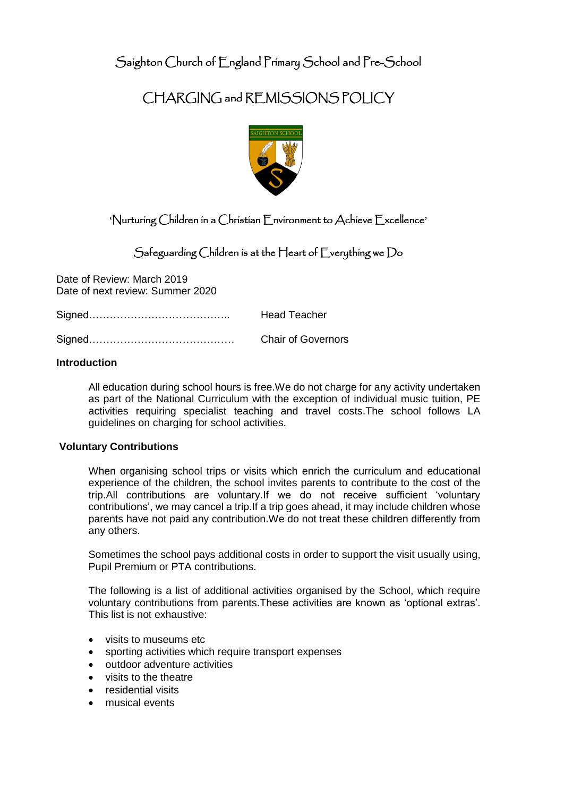Saighton Church of England Primary School and Pre-School

# CHARGING and REMISSIONS POLICY



# 'Nurturing Children in a Christian Environment to Achieve Excellence'

# Safeguarding Children is at the Heart of Everything we Do

Date of Review: March 2019 Date of next review: Summer 2020

Signed………………………………….. Head Teacher

Signed…………………………………… Chair of Governors

### **Introduction**

All education during school hours is free.We do not charge for any activity undertaken as part of the National Curriculum with the exception of individual music tuition, PE activities requiring specialist teaching and travel costs.The school follows LA guidelines on charging for school activities.

### **Voluntary Contributions**

When organising school trips or visits which enrich the curriculum and educational experience of the children, the school invites parents to contribute to the cost of the trip.All contributions are voluntary.If we do not receive sufficient 'voluntary contributions', we may cancel a trip.If a trip goes ahead, it may include children whose parents have not paid any contribution.We do not treat these children differently from any others.

Sometimes the school pays additional costs in order to support the visit usually using, Pupil Premium or PTA contributions.

The following is a list of additional activities organised by the School, which require voluntary contributions from parents.These activities are known as 'optional extras'. This list is not exhaustive:

- visits to museums etc
- sporting activities which require transport expenses
- outdoor adventure activities
- visits to the theatre
- residential visits
- musical events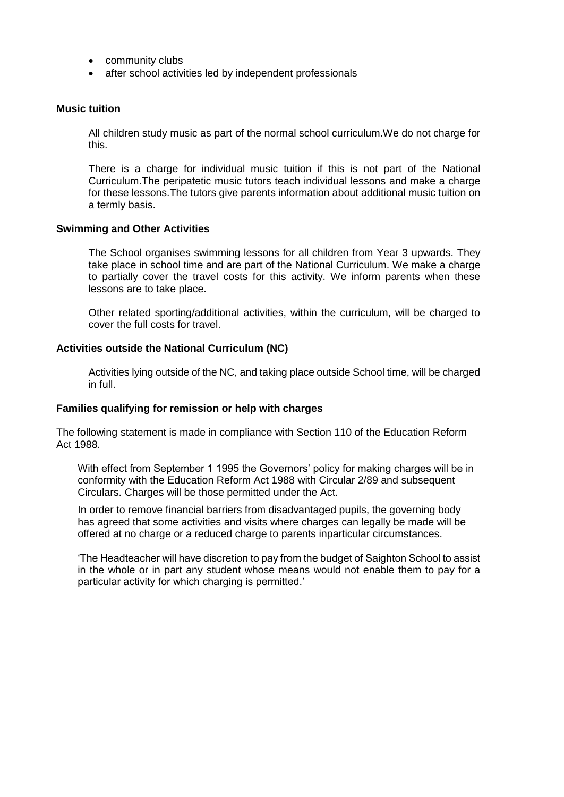- community clubs
- after school activities led by independent professionals

#### **Music tuition**

All children study music as part of the normal school curriculum.We do not charge for this.

There is a charge for individual music tuition if this is not part of the National Curriculum.The peripatetic music tutors teach individual lessons and make a charge for these lessons.The tutors give parents information about additional music tuition on a termly basis.

#### **Swimming and Other Activities**

The School organises swimming lessons for all children from Year 3 upwards. They take place in school time and are part of the National Curriculum. We make a charge to partially cover the travel costs for this activity. We inform parents when these lessons are to take place.

Other related sporting/additional activities, within the curriculum, will be charged to cover the full costs for travel.

#### **Activities outside the National Curriculum (NC)**

Activities lying outside of the NC, and taking place outside School time, will be charged in full.

#### **Families qualifying for remission or help with charges**

The following statement is made in compliance with Section 110 of the Education Reform Act 1988.

With effect from September 1 1995 the Governors' policy for making charges will be in conformity with the Education Reform Act 1988 with Circular 2/89 and subsequent Circulars. Charges will be those permitted under the Act.

In order to remove financial barriers from disadvantaged pupils, the governing body has agreed that some activities and visits where charges can legally be made will be offered at no charge or a reduced charge to parents inparticular circumstances.

'The Headteacher will have discretion to pay from the budget of Saighton School to assist in the whole or in part any student whose means would not enable them to pay for a particular activity for which charging is permitted.'